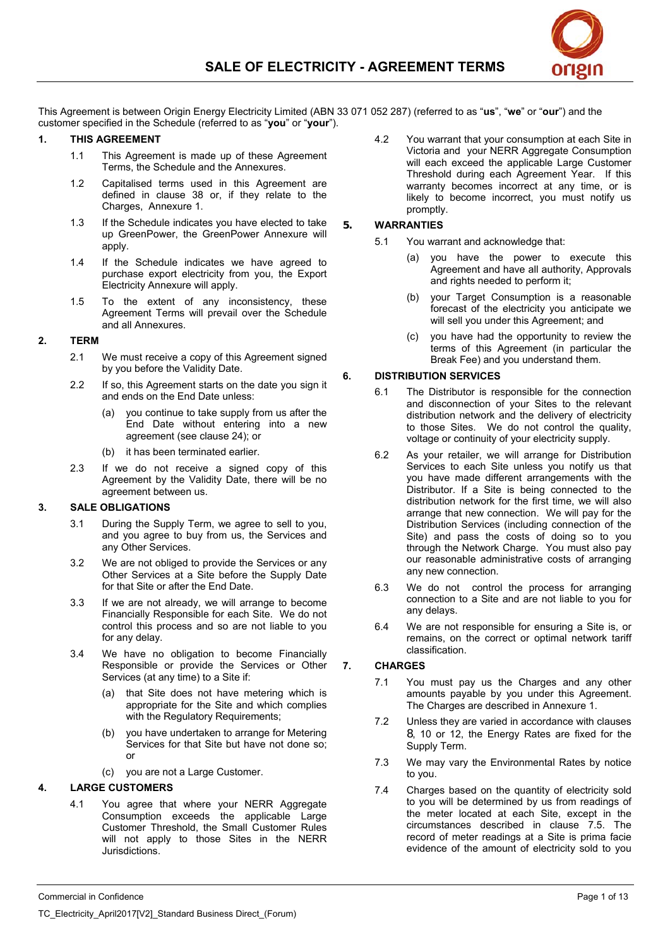

This Agreement is between Origin Energy Electricity Limited (ABN 33 071 052 287) (referred to as "**us**", "**we**" or "**our**") and the customer specified in the Schedule (referred to as "**you**" or "**your**").

### **1. THIS AGREEMENT**

- 1.1 This Agreement is made up of these Agreement Terms, the Schedule and the Annexures.
- 1.2 Capitalised terms used in this Agreement are defined in clause 38 or, if they relate to the Charges, Annexure 1.
- 1.3 If the Schedule indicates you have elected to take up GreenPower, the GreenPower Annexure will apply.
- 1.4 If the Schedule indicates we have agreed to purchase export electricity from you, the Export Electricity Annexure will apply.
- 1.5 To the extent of any inconsistency, these Agreement Terms will prevail over the Schedule and all Annexures.

### **2. TERM**

- 2.1 We must receive a copy of this Agreement signed by you before the Validity Date.
- 2.2 If so, this Agreement starts on the date you sign it and ends on the End Date unless:
	- you continue to take supply from us after the End Date without entering into a new agreement (see clause 24); or
	- (b) it has been terminated earlier.
- 2.3 If we do not receive a signed copy of this Agreement by the Validity Date, there will be no agreement between us.

### **3. SALE OBLIGATIONS**

- 3.1 During the Supply Term, we agree to sell to you, and you agree to buy from us, the Services and any Other Services.
- 3.2 We are not obliged to provide the Services or any Other Services at a Site before the Supply Date for that Site or after the End Date.
- 3.3 If we are not already, we will arrange to become Financially Responsible for each Site. We do not control this process and so are not liable to you for any delay.
- 3.4 We have no obligation to become Financially Responsible or provide the Services or Other Services (at any time) to a Site if:
	- (a) that Site does not have metering which is appropriate for the Site and which complies with the Regulatory Requirements;
	- (b) you have undertaken to arrange for Metering Services for that Site but have not done so; or
	- (c) you are not a Large Customer.

### **4. LARGE CUSTOMERS**

4.1 You agree that where your NERR Aggregate Consumption exceeds the applicable Large Customer Threshold, the Small Customer Rules will not apply to those Sites in the NERR Jurisdictions.

4.2 You warrant that your consumption at each Site in Victoria and your NERR Aggregate Consumption will each exceed the applicable Large Customer Threshold during each Agreement Year. If this warranty becomes incorrect at any time, or is likely to become incorrect, you must notify us promptly.

### **5. WARRANTIES**

- 5.1 You warrant and acknowledge that:
	- (a) you have the power to execute this Agreement and have all authority, Approvals and rights needed to perform it:
	- (b) your Target Consumption is a reasonable forecast of the electricity you anticipate we will sell you under this Agreement; and
	- (c) you have had the opportunity to review the terms of this Agreement (in particular the Break Fee) and you understand them.

# **6. DISTRIBUTION SERVICES**

- 6.1 The Distributor is responsible for the connection and disconnection of your Sites to the relevant distribution network and the delivery of electricity to those Sites. We do not control the quality, voltage or continuity of your electricity supply.
- 6.2 As your retailer, we will arrange for Distribution Services to each Site unless you notify us that you have made different arrangements with the Distributor. If a Site is being connected to the distribution network for the first time, we will also arrange that new connection. We will pay for the Distribution Services (including connection of the Site) and pass the costs of doing so to you through the Network Charge. You must also pay our reasonable administrative costs of arranging any new connection.
- 6.3 We do not control the process for arranging connection to a Site and are not liable to you for any delays.
- 6.4 We are not responsible for ensuring a Site is, or remains, on the correct or optimal network tariff classification.

### **7. CHARGES**

- 7.1 You must pay us the Charges and any other amounts payable by you under this Agreement. The Charges are described in Annexure 1.
- 7.2 Unless they are varied in accordance with clauses 8, 10 or 12, the Energy Rates are fixed for the Supply Term.
- 7.3 We may vary the Environmental Rates by notice to you.
- 7.4 Charges based on the quantity of electricity sold to you will be determined by us from readings of the meter located at each Site, except in the circumstances described in clause 7.5. The record of meter readings at a Site is prima facie evidence of the amount of electricity sold to you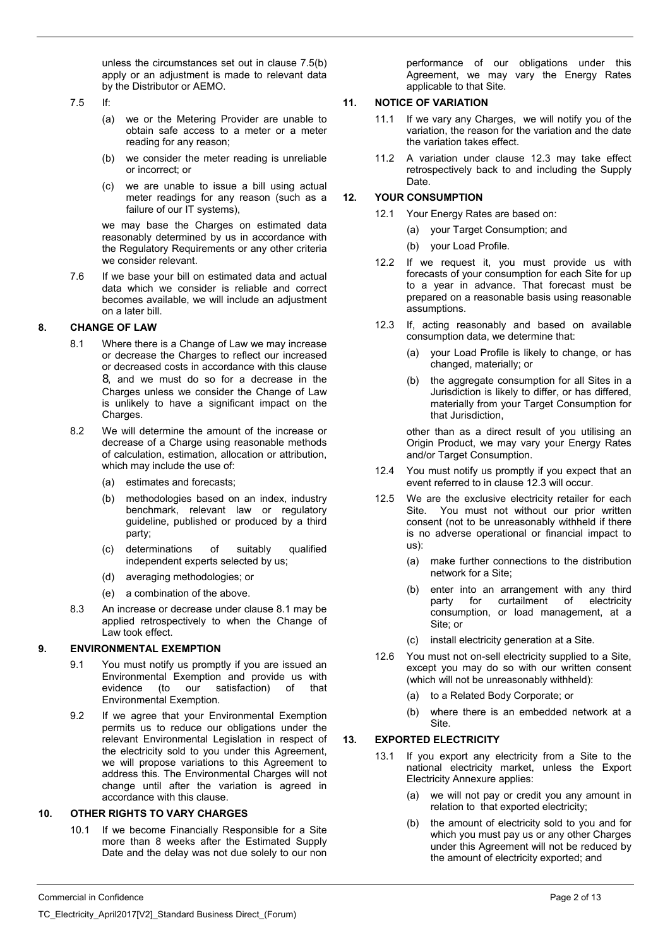unless the circumstances set out in clause 7.5(b) apply or an adjustment is made to relevant data by the Distributor or AEMO.

7.5 If:

- (a) we or the Metering Provider are unable to obtain safe access to a meter or a meter reading for any reason;
- (b) we consider the meter reading is unreliable or incorrect; or
- (c) we are unable to issue a bill using actual meter readings for any reason (such as a failure of our IT systems),

we may base the Charges on estimated data reasonably determined by us in accordance with the Regulatory Requirements or any other criteria we consider relevant.

7.6 If we base your bill on estimated data and actual data which we consider is reliable and correct becomes available, we will include an adjustment on a later bill.

# **8. CHANGE OF LAW**

- 8.1 Where there is a Change of Law we may increase or decrease the Charges to reflect our increased or decreased costs in accordance with this clause 8, and we must do so for a decrease in the Charges unless we consider the Change of Law is unlikely to have a significant impact on the Charges.
- 8.2 We will determine the amount of the increase or decrease of a Charge using reasonable methods of calculation, estimation, allocation or attribution, which may include the use of:
	- (a) estimates and forecasts;
	- (b) methodologies based on an index, industry benchmark, relevant law or regulatory guideline, published or produced by a third party;
	- (c) determinations of suitably qualified independent experts selected by us;
	- (d) averaging methodologies; or
	- (e) a combination of the above.
- 8.3 An increase or decrease under clause 8.1 may be applied retrospectively to when the Change of Law took effect.

# **9. ENVIRONMENTAL EXEMPTION**

- 9.1 You must notify us promptly if you are issued an Environmental Exemption and provide us with evidence (to our satisfaction) of that Environmental Exemption.
- 9.2 If we agree that your Environmental Exemption permits us to reduce our obligations under the relevant Environmental Legislation in respect of the electricity sold to you under this Agreement, we will propose variations to this Agreement to address this. The Environmental Charges will not change until after the variation is agreed in accordance with this clause.

### **10. OTHER RIGHTS TO VARY CHARGES**

10.1 If we become Financially Responsible for a Site more than 8 weeks after the Estimated Supply Date and the delay was not due solely to our non

performance of our obligations under this Agreement, we may vary the Energy Rates applicable to that Site.

# **11. NOTICE OF VARIATION**

- 11.1 If we vary any Charges, we will notify you of the variation, the reason for the variation and the date the variation takes effect.
- 11.2 A variation under clause 12.3 may take effect retrospectively back to and including the Supply **Date**

# **12. YOUR CONSUMPTION**

- 12.1 Your Energy Rates are based on:
	- (a) your Target Consumption; and
	- (b) your Load Profile.
- 12.2 If we request it, you must provide us with forecasts of your consumption for each Site for up to a year in advance. That forecast must be prepared on a reasonable basis using reasonable assumptions.
- 12.3 If, acting reasonably and based on available consumption data, we determine that:
	- (a) your Load Profile is likely to change, or has changed, materially; or
	- (b) the aggregate consumption for all Sites in a Jurisdiction is likely to differ, or has differed, materially from your Target Consumption for that Jurisdiction,

other than as a direct result of you utilising an Origin Product, we may vary your Energy Rates and/or Target Consumption.

- 12.4 You must notify us promptly if you expect that an event referred to in clause 12.3 will occur.
- 12.5 We are the exclusive electricity retailer for each Site. You must not without our prior written consent (not to be unreasonably withheld if there is no adverse operational or financial impact to us):
	- (a) make further connections to the distribution network for a Site;
	- (b) enter into an arrangement with any third party for curtailment of electricity consumption, or load management, at a Site; or
	- (c) install electricity generation at a Site.
- 12.6 You must not on-sell electricity supplied to a Site, except you may do so with our written consent (which will not be unreasonably withheld):
	- (a) to a Related Body Corporate; or
	- (b) where there is an embedded network at a Site.

# **13. EXPORTED ELECTRICITY**

- 13.1 If you export any electricity from a Site to the national electricity market, unless the Export Electricity Annexure applies:
	- (a) we will not pay or credit you any amount in relation to that exported electricity;
	- (b) the amount of electricity sold to you and for which you must pay us or any other Charges under this Agreement will not be reduced by the amount of electricity exported; and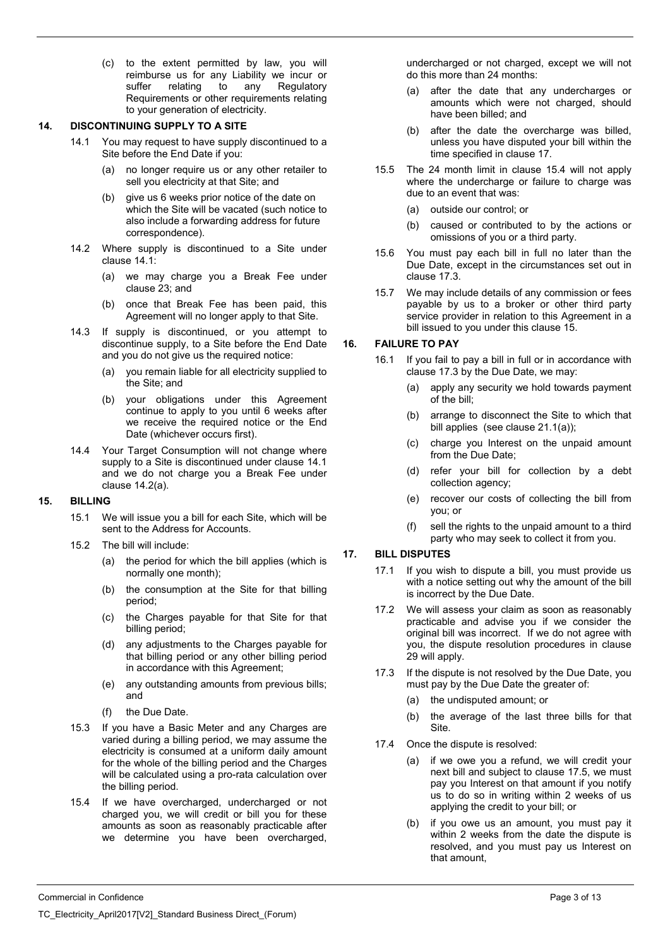(c) to the extent permitted by law, you will reimburse us for any Liability we incur or suffer relating to any Regulatory Requirements or other requirements relating to your generation of electricity.

#### **14. DISCONTINUING SUPPLY TO A SITE**

- 14.1 You may request to have supply discontinued to a Site before the End Date if you:
	- (a) no longer require us or any other retailer to sell you electricity at that Site; and
	- (b) give us 6 weeks prior notice of the date on which the Site will be vacated (such notice to also include a forwarding address for future correspondence).
- 14.2 Where supply is discontinued to a Site under clause 14.1:
	- (a) we may charge you a Break Fee under clause 23; and
	- (b) once that Break Fee has been paid, this Agreement will no longer apply to that Site.
- 14.3 If supply is discontinued, or you attempt to discontinue supply, to a Site before the End Date and you do not give us the required notice:
	- (a) you remain liable for all electricity supplied to the Site; and
	- (b) your obligations under this Agreement continue to apply to you until 6 weeks after we receive the required notice or the End Date (whichever occurs first).
- 14.4 Your Target Consumption will not change where supply to a Site is discontinued under clause 14.1 and we do not charge you a Break Fee under clause 14.2(a).

### **15. BILLING**

- 15.1 We will issue you a bill for each Site, which will be sent to the Address for Accounts.
- 15.2 The bill will include:
	- (a) the period for which the bill applies (which is normally one month);
	- (b) the consumption at the Site for that billing period;
	- (c) the Charges payable for that Site for that billing period;
	- (d) any adjustments to the Charges payable for that billing period or any other billing period in accordance with this Agreement;
	- (e) any outstanding amounts from previous bills; and
	- (f) the Due Date.
- 15.3 If you have a Basic Meter and any Charges are varied during a billing period, we may assume the electricity is consumed at a uniform daily amount for the whole of the billing period and the Charges will be calculated using a pro-rata calculation over the billing period.
- 15.4 If we have overcharged, undercharged or not charged you, we will credit or bill you for these amounts as soon as reasonably practicable after we determine you have been overcharged,

undercharged or not charged, except we will not do this more than 24 months:

- (a) after the date that any undercharges or amounts which were not charged, should have been billed; and
- (b) after the date the overcharge was billed, unless you have disputed your bill within the time specified in clause 17.
- 15.5 The 24 month limit in clause 15.4 will not apply where the undercharge or failure to charge was due to an event that was:
	- (a) outside our control; or
	- (b) caused or contributed to by the actions or omissions of you or a third party.
- 15.6 You must pay each bill in full no later than the Due Date, except in the circumstances set out in clause 17.3.
- 15.7 We may include details of any commission or fees payable by us to a broker or other third party service provider in relation to this Agreement in a bill issued to you under this clause 15.

# **16. FAILURE TO PAY**

- 16.1 If you fail to pay a bill in full or in accordance with clause 17.3 by the Due Date, we may:
	- apply any security we hold towards payment of the bill;
	- (b) arrange to disconnect the Site to which that bill applies (see clause 21.1(a));
	- (c) charge you Interest on the unpaid amount from the Due Date;
	- (d) refer your bill for collection by a debt collection agency;
	- (e) recover our costs of collecting the bill from you; or
	- (f) sell the rights to the unpaid amount to a third party who may seek to collect it from you.

### **17. BILL DISPUTES**

- 17.1 If you wish to dispute a bill, you must provide us with a notice setting out why the amount of the bill is incorrect by the Due Date.
- 17.2 We will assess your claim as soon as reasonably practicable and advise you if we consider the original bill was incorrect. If we do not agree with you, the dispute resolution procedures in clause 29 will apply.
- 17.3 If the dispute is not resolved by the Due Date, you must pay by the Due Date the greater of:
	- (a) the undisputed amount; or
	- (b) the average of the last three bills for that Site.
- 17.4 Once the dispute is resolved:
	- (a) if we owe you a refund, we will credit your next bill and subject to clause 17.5, we must pay you Interest on that amount if you notify us to do so in writing within 2 weeks of us applying the credit to your bill; or
	- (b) if you owe us an amount, you must pay it within 2 weeks from the date the dispute is resolved, and you must pay us Interest on that amount,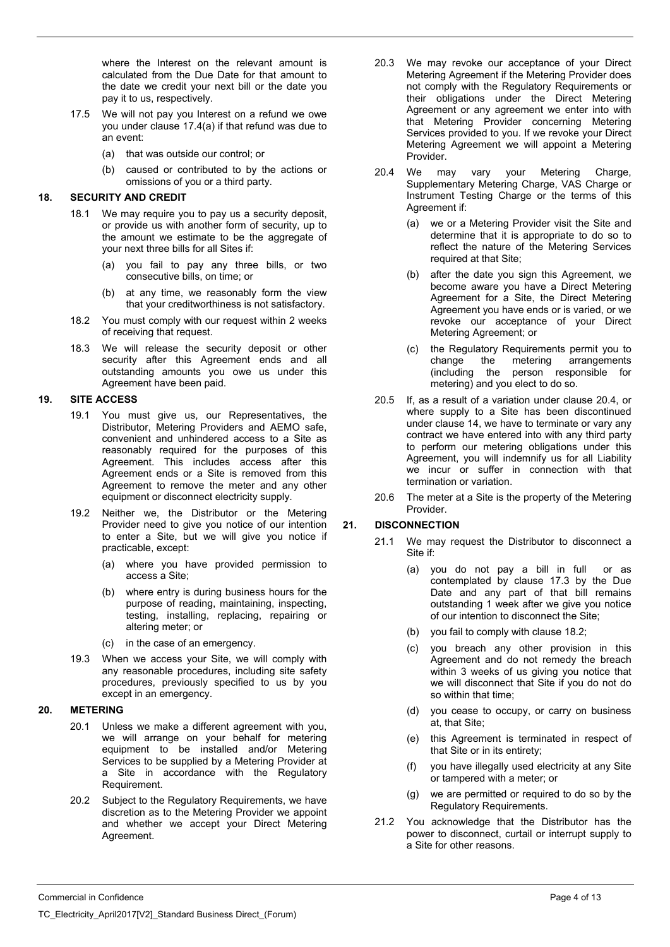where the Interest on the relevant amount is calculated from the Due Date for that amount to the date we credit your next bill or the date you pay it to us, respectively.

- 17.5 We will not pay you Interest on a refund we owe you under clause 17.4(a) if that refund was due to an event:
	- (a) that was outside our control; or
	- (b) caused or contributed to by the actions or omissions of you or a third party.

### **18. SECURITY AND CREDIT**

- 18.1 We may require you to pay us a security deposit, or provide us with another form of security, up to the amount we estimate to be the aggregate of your next three bills for all Sites if:
	- (a) you fail to pay any three bills, or two consecutive bills, on time; or
	- (b) at any time, we reasonably form the view that your creditworthiness is not satisfactory.
- 18.2 You must comply with our request within 2 weeks of receiving that request.
- 18.3 We will release the security deposit or other security after this Agreement ends and all outstanding amounts you owe us under this Agreement have been paid.

### **19. SITE ACCESS**

- 19.1 You must give us, our Representatives, the Distributor, Metering Providers and AEMO safe, convenient and unhindered access to a Site as reasonably required for the purposes of this Agreement. This includes access after this Agreement ends or a Site is removed from this Agreement to remove the meter and any other equipment or disconnect electricity supply.
- 19.2 Neither we, the Distributor or the Metering Provider need to give you notice of our intention to enter a Site, but we will give you notice if practicable, except:
	- (a) where you have provided permission to access a Site;
	- (b) where entry is during business hours for the purpose of reading, maintaining, inspecting, testing, installing, replacing, repairing or altering meter; or
	- (c) in the case of an emergency.
- 19.3 When we access your Site, we will comply with any reasonable procedures, including site safety procedures, previously specified to us by you except in an emergency.

#### **20. METERING**

- 20.1 Unless we make a different agreement with you, we will arrange on your behalf for metering equipment to be installed and/or Metering Services to be supplied by a Metering Provider at a Site in accordance with the Regulatory Requirement.
- 20.2 Subject to the Regulatory Requirements, we have discretion as to the Metering Provider we appoint and whether we accept your Direct Metering Agreement.
- 20.3 We may revoke our acceptance of your Direct Metering Agreement if the Metering Provider does not comply with the Regulatory Requirements or their obligations under the Direct Metering Agreement or any agreement we enter into with that Metering Provider concerning Metering Services provided to you. If we revoke your Direct Metering Agreement we will appoint a Metering Provider.
- 20.4 We may vary your Metering Charge, Supplementary Metering Charge, VAS Charge or Instrument Testing Charge or the terms of this Agreement if:
	- (a) we or a Metering Provider visit the Site and determine that it is appropriate to do so to reflect the nature of the Metering Services required at that Site;
	- (b) after the date you sign this Agreement, we become aware you have a Direct Metering Agreement for a Site, the Direct Metering Agreement you have ends or is varied, or we revoke our acceptance of your Direct Metering Agreement; or
	- (c) the Regulatory Requirements permit you to change the metering arrangements (including the person responsible for metering) and you elect to do so.
- 20.5 If, as a result of a variation under clause 20.4, or where supply to a Site has been discontinued under clause 14, we have to terminate or vary any contract we have entered into with any third party to perform our metering obligations under this Agreement, you will indemnify us for all Liability we incur or suffer in connection with that termination or variation.
- 20.6 The meter at a Site is the property of the Metering Provider.

### **21. DISCONNECTION**

- 21.1 We may request the Distributor to disconnect a Site if:
	- (a) you do not pay a bill in full or as contemplated by clause 17.3 by the Due Date and any part of that bill remains outstanding 1 week after we give you notice of our intention to disconnect the Site;
	- (b) you fail to comply with clause 18.2;
	- (c) you breach any other provision in this Agreement and do not remedy the breach within 3 weeks of us giving you notice that we will disconnect that Site if you do not do so within that time;
	- (d) you cease to occupy, or carry on business at, that Site;
	- (e) this Agreement is terminated in respect of that Site or in its entirety;
	- (f) you have illegally used electricity at any Site or tampered with a meter; or
	- (g) we are permitted or required to do so by the Regulatory Requirements.
- 21.2 You acknowledge that the Distributor has the power to disconnect, curtail or interrupt supply to a Site for other reasons.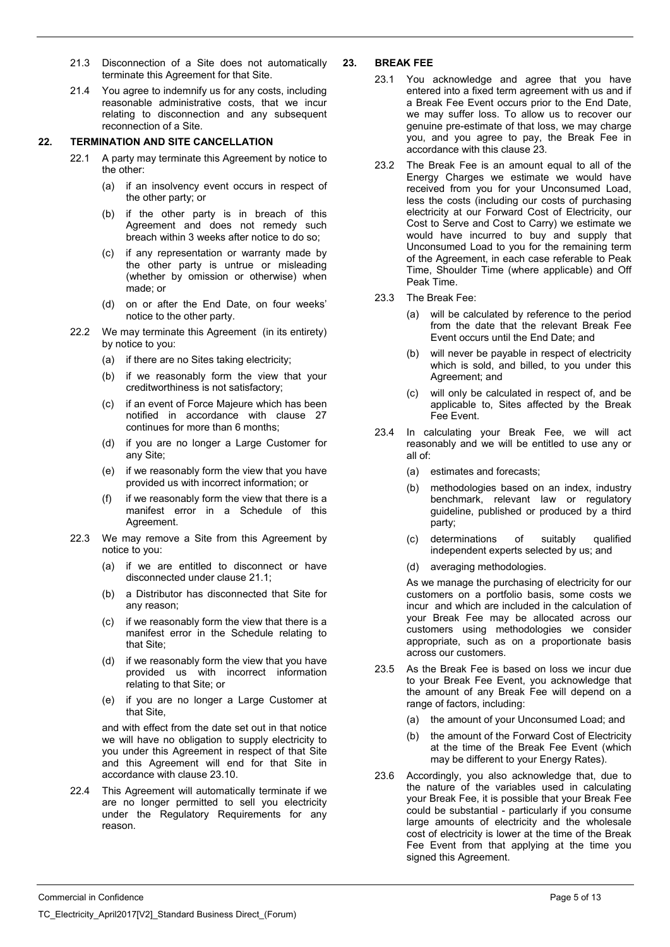- 21.3 Disconnection of a Site does not automatically terminate this Agreement for that Site.
- 21.4 You agree to indemnify us for any costs, including reasonable administrative costs, that we incur relating to disconnection and any subsequent reconnection of a Site.

#### **22. TERMINATION AND SITE CANCELLATION**

- 22.1 A party may terminate this Agreement by notice to the other:
	- (a) if an insolvency event occurs in respect of the other party; or
	- (b) if the other party is in breach of this Agreement and does not remedy such breach within 3 weeks after notice to do so;
	- (c) if any representation or warranty made by the other party is untrue or misleading (whether by omission or otherwise) when made; or
	- (d) on or after the End Date, on four weeks' notice to the other party.
- 22.2 We may terminate this Agreement (in its entirety) by notice to you:
	- (a) if there are no Sites taking electricity;
	- (b) if we reasonably form the view that your creditworthiness is not satisfactory;
	- (c) if an event of Force Majeure which has been notified in accordance with clause 27 continues for more than 6 months;
	- (d) if you are no longer a Large Customer for any Site;
	- (e) if we reasonably form the view that you have provided us with incorrect information; or
	- (f) if we reasonably form the view that there is a manifest error in a Schedule of this Agreement.
- 22.3 We may remove a Site from this Agreement by notice to you:
	- (a) if we are entitled to disconnect or have disconnected under clause 21.1;
	- (b) a Distributor has disconnected that Site for any reason;
	- (c) if we reasonably form the view that there is a manifest error in the Schedule relating to that Site;
	- (d) if we reasonably form the view that you have provided us with incorrect information relating to that Site; or
	- (e) if you are no longer a Large Customer at that Site,

and with effect from the date set out in that notice we will have no obligation to supply electricity to you under this Agreement in respect of that Site and this Agreement will end for that Site in accordance with clause 23.10.

22.4 This Agreement will automatically terminate if we are no longer permitted to sell you electricity under the Regulatory Requirements for any reason.

### **23. BREAK FEE**

- 23.1 You acknowledge and agree that you have entered into a fixed term agreement with us and if a Break Fee Event occurs prior to the End Date, we may suffer loss. To allow us to recover our genuine pre-estimate of that loss, we may charge you, and you agree to pay, the Break Fee in accordance with this clause 23.
- 23.2 The Break Fee is an amount equal to all of the Energy Charges we estimate we would have received from you for your Unconsumed Load, less the costs (including our costs of purchasing electricity at our Forward Cost of Electricity, our Cost to Serve and Cost to Carry) we estimate we would have incurred to buy and supply that Unconsumed Load to you for the remaining term of the Agreement, in each case referable to Peak Time, Shoulder Time (where applicable) and Off Peak Time.
- 23.3 The Break Fee:
	- (a) will be calculated by reference to the period from the date that the relevant Break Fee Event occurs until the End Date; and
	- (b) will never be payable in respect of electricity which is sold, and billed, to you under this Agreement; and
	- (c) will only be calculated in respect of, and be applicable to, Sites affected by the Break Fee Event.
- 23.4 In calculating your Break Fee, we will act reasonably and we will be entitled to use any or all of:
	- (a) estimates and forecasts;
	- (b) methodologies based on an index, industry benchmark, relevant law or regulatory guideline, published or produced by a third party;
	- (c) determinations of suitably qualified independent experts selected by us; and
	- (d) averaging methodologies.

As we manage the purchasing of electricity for our customers on a portfolio basis, some costs we incur and which are included in the calculation of your Break Fee may be allocated across our customers using methodologies we consider appropriate, such as on a proportionate basis across our customers.

- 23.5 As the Break Fee is based on loss we incur due to your Break Fee Event, you acknowledge that the amount of any Break Fee will depend on a range of factors, including:
	- (a) the amount of your Unconsumed Load; and
	- (b) the amount of the Forward Cost of Electricity at the time of the Break Fee Event (which may be different to your Energy Rates).
- 23.6 Accordingly, you also acknowledge that, due to the nature of the variables used in calculating your Break Fee, it is possible that your Break Fee could be substantial - particularly if you consume large amounts of electricity and the wholesale cost of electricity is lower at the time of the Break Fee Event from that applying at the time you signed this Agreement.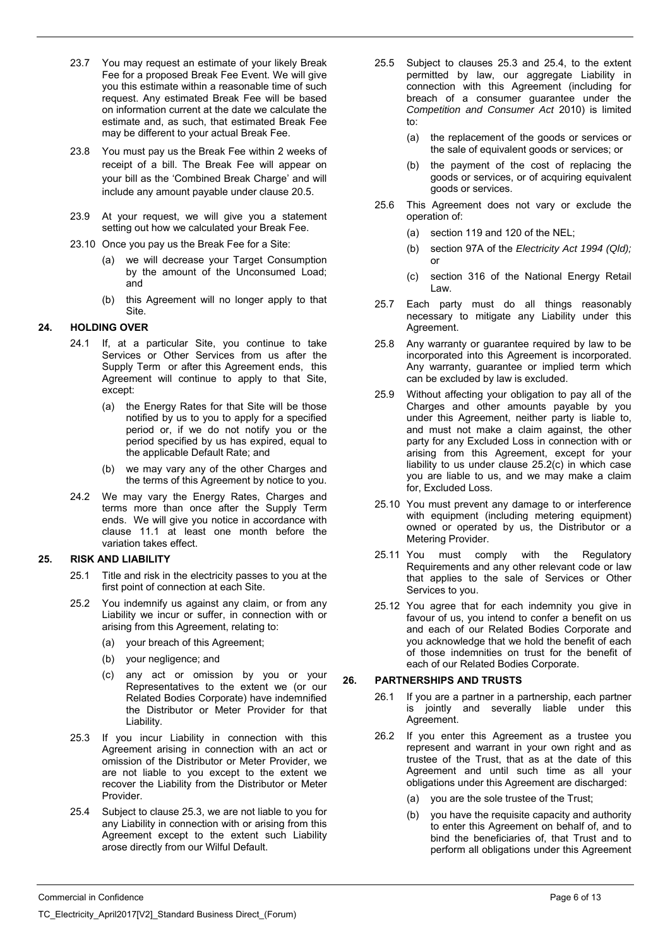- 23.7 You may request an estimate of your likely Break Fee for a proposed Break Fee Event. We will give you this estimate within a reasonable time of such request. Any estimated Break Fee will be based on information current at the date we calculate the estimate and, as such, that estimated Break Fee may be different to your actual Break Fee.
- 23.8 You must pay us the Break Fee within 2 weeks of receipt of a bill. The Break Fee will appear on your bill as the 'Combined Break Charge' and will include any amount payable under clause 20.5.
- 23.9 At your request, we will give you a statement setting out how we calculated your Break Fee.
- 23.10 Once you pay us the Break Fee for a Site:
	- (a) we will decrease your Target Consumption by the amount of the Unconsumed Load; and
	- (b) this Agreement will no longer apply to that Site.

# **24. HOLDING OVER**

- 24.1 If, at a particular Site, you continue to take Services or Other Services from us after the Supply Term or after this Agreement ends, this Agreement will continue to apply to that Site, except:
	- (a) the Energy Rates for that Site will be those notified by us to you to apply for a specified period or, if we do not notify you or the period specified by us has expired, equal to the applicable Default Rate; and
	- (b) we may vary any of the other Charges and the terms of this Agreement by notice to you.
- 24.2 We may vary the Energy Rates, Charges and terms more than once after the Supply Term ends. We will give you notice in accordance with clause 11.1 at least one month before the variation takes effect.

# **25. RISK AND LIABILITY**

- 25.1 Title and risk in the electricity passes to you at the first point of connection at each Site.
- 25.2 You indemnify us against any claim, or from any Liability we incur or suffer, in connection with or arising from this Agreement, relating to:
	- (a) your breach of this Agreement;
	- (b) your negligence; and
	- (c) any act or omission by you or your Representatives to the extent we (or our Related Bodies Corporate) have indemnified the Distributor or Meter Provider for that Liability.
- 25.3 If you incur Liability in connection with this Agreement arising in connection with an act or omission of the Distributor or Meter Provider, we are not liable to you except to the extent we recover the Liability from the Distributor or Meter Provider.
- 25.4 Subject to clause 25.3, we are not liable to you for any Liability in connection with or arising from this Agreement except to the extent such Liability arose directly from our Wilful Default.
- 25.5 Subject to clauses 25.3 and 25.4, to the extent permitted by law, our aggregate Liability in connection with this Agreement (including for breach of a consumer guarantee under the *Competition and Consumer Act* 2010) is limited to:
	- (a) the replacement of the goods or services or the sale of equivalent goods or services; or
	- (b) the payment of the cost of replacing the goods or services, or of acquiring equivalent goods or services.
- 25.6 This Agreement does not vary or exclude the operation of:
	- (a) section 119 and 120 of the NEL;
	- (b) section 97A of the *Electricity Act 1994 (Qld);*  or
	- (c) section 316 of the National Energy Retail Law.
- 25.7 Each party must do all things reasonably necessary to mitigate any Liability under this Agreement.
- 25.8 Any warranty or guarantee required by law to be incorporated into this Agreement is incorporated. Any warranty, guarantee or implied term which can be excluded by law is excluded.
- 25.9 Without affecting your obligation to pay all of the Charges and other amounts payable by you under this Agreement, neither party is liable to, and must not make a claim against, the other party for any Excluded Loss in connection with or arising from this Agreement, except for your liability to us under clause 25.2(c) in which case you are liable to us, and we may make a claim for, Excluded Loss.
- 25.10 You must prevent any damage to or interference with equipment (including metering equipment) owned or operated by us, the Distributor or a Metering Provider.
- 25.11 You must comply with the Regulatory Requirements and any other relevant code or law that applies to the sale of Services or Other Services to you.
- 25.12 You agree that for each indemnity you give in favour of us, you intend to confer a benefit on us and each of our Related Bodies Corporate and you acknowledge that we hold the benefit of each of those indemnities on trust for the benefit of each of our Related Bodies Corporate.

# **26. PARTNERSHIPS AND TRUSTS**

- 26.1 If you are a partner in a partnership, each partner is jointly and severally liable under this Agreement.
- 26.2 If you enter this Agreement as a trustee you represent and warrant in your own right and as trustee of the Trust, that as at the date of this Agreement and until such time as all your obligations under this Agreement are discharged:
	- (a) you are the sole trustee of the Trust;
	- (b) you have the requisite capacity and authority to enter this Agreement on behalf of, and to bind the beneficiaries of, that Trust and to perform all obligations under this Agreement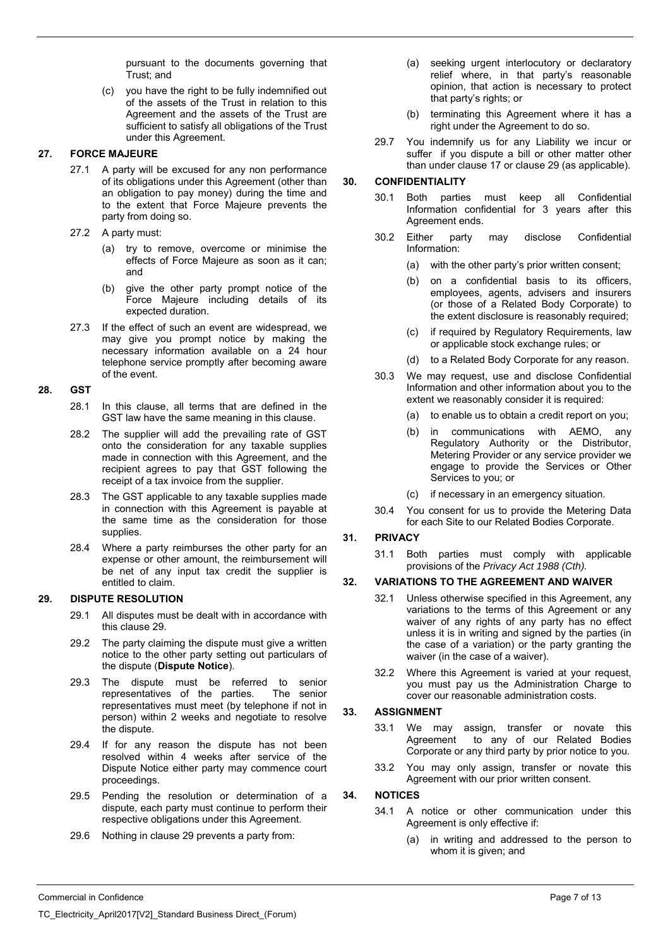pursuant to the documents governing that Trust; and

(c) you have the right to be fully indemnified out of the assets of the Trust in relation to this Agreement and the assets of the Trust are sufficient to satisfy all obligations of the Trust under this Agreement.

# **27. FORCE MAJEURE**

- 27.1 A party will be excused for any non performance of its obligations under this Agreement (other than an obligation to pay money) during the time and to the extent that Force Majeure prevents the party from doing so.
- 27.2 A party must:
	- (a) try to remove, overcome or minimise the effects of Force Majeure as soon as it can; and
	- (b) give the other party prompt notice of the Force Majeure including details of its expected duration.
- 27.3 If the effect of such an event are widespread, we may give you prompt notice by making the necessary information available on a 24 hour telephone service promptly after becoming aware of the event.

# **28. GST**

- 28.1 In this clause, all terms that are defined in the GST law have the same meaning in this clause.
- 28.2 The supplier will add the prevailing rate of GST onto the consideration for any taxable supplies made in connection with this Agreement, and the recipient agrees to pay that GST following the receipt of a tax invoice from the supplier.
- 28.3 The GST applicable to any taxable supplies made in connection with this Agreement is payable at the same time as the consideration for those supplies.
- 28.4 Where a party reimburses the other party for an expense or other amount, the reimbursement will be net of any input tax credit the supplier is entitled to claim.

### **29. DISPUTE RESOLUTION**

- 29.1 All disputes must be dealt with in accordance with this clause 29.
- 29.2 The party claiming the dispute must give a written notice to the other party setting out particulars of the dispute (**Dispute Notice**).
- 29.3 The dispute must be referred to senior representatives of the parties. The senior representatives must meet (by telephone if not in person) within 2 weeks and negotiate to resolve the dispute.
- 29.4 If for any reason the dispute has not been resolved within 4 weeks after service of the Dispute Notice either party may commence court proceedings.
- 29.5 Pending the resolution or determination of a dispute, each party must continue to perform their respective obligations under this Agreement.
- 29.6 Nothing in clause 29 prevents a party from:
- (a) seeking urgent interlocutory or declaratory relief where, in that party's reasonable opinion, that action is necessary to protect that party's rights; or
- (b) terminating this Agreement where it has a right under the Agreement to do so.
- 29.7 You indemnify us for any Liability we incur or suffer if you dispute a bill or other matter other than under clause 17 or clause 29 (as applicable).

### **30. CONFIDENTIALITY**

- 30.1 Both parties must keep all Confidential Information confidential for 3 years after this Agreement ends.
- 30.2 Either party may disclose Confidential Information:
	- (a) with the other party's prior written consent;
	- (b) on a confidential basis to its officers, employees, agents, advisers and insurers (or those of a Related Body Corporate) to the extent disclosure is reasonably required;
	- (c) if required by Regulatory Requirements, law or applicable stock exchange rules; or
	- (d) to a Related Body Corporate for any reason.
- 30.3 We may request, use and disclose Confidential Information and other information about you to the extent we reasonably consider it is required:
	- (a) to enable us to obtain a credit report on you;
	- (b) in communications with AEMO, any Regulatory Authority or the Distributor, Metering Provider or any service provider we engage to provide the Services or Other Services to you; or
	- (c) if necessary in an emergency situation.
- 30.4 You consent for us to provide the Metering Data for each Site to our Related Bodies Corporate.

### **31. PRIVACY**

31.1 Both parties must comply with applicable provisions of the *Privacy Act 1988 (Cth).*

### **32. VARIATIONS TO THE AGREEMENT AND WAIVER**

- 32.1 Unless otherwise specified in this Agreement, any variations to the terms of this Agreement or any waiver of any rights of any party has no effect unless it is in writing and signed by the parties (in the case of a variation) or the party granting the waiver (in the case of a waiver).
- 32.2 Where this Agreement is varied at your request, you must pay us the Administration Charge to cover our reasonable administration costs.

### **33. ASSIGNMENT**

- 33.1 We may assign, transfer or novate this Agreement to any of our Related Bodies Corporate or any third party by prior notice to you.
- 33.2 You may only assign, transfer or novate this Agreement with our prior written consent.

### **34. NOTICES**

- 34.1 A notice or other communication under this Agreement is only effective if:
	- (a) in writing and addressed to the person to whom it is given; and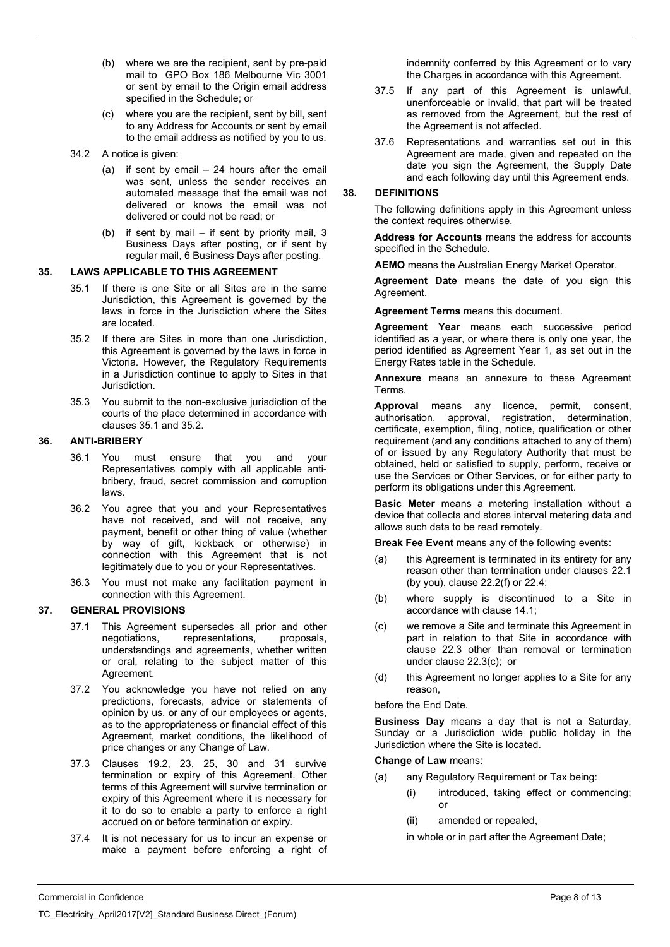- (b) where we are the recipient, sent by pre-paid mail to GPO Box 186 Melbourne Vic 3001 or sent by email to the Origin email address specified in the Schedule; or
- (c) where you are the recipient, sent by bill, sent to any Address for Accounts or sent by email to the email address as notified by you to us.
- 34.2 A notice is given:
	- (a) if sent by email 24 hours after the email was sent, unless the sender receives an automated message that the email was not delivered or knows the email was not delivered or could not be read; or
	- (b) if sent by mail if sent by priority mail, 3 Business Days after posting, or if sent by regular mail, 6 Business Days after posting.

# **35. LAWS APPLICABLE TO THIS AGREEMENT**

- 35.1 If there is one Site or all Sites are in the same Jurisdiction, this Agreement is governed by the laws in force in the Jurisdiction where the Sites are located.
- 35.2 If there are Sites in more than one Jurisdiction, this Agreement is governed by the laws in force in Victoria. However, the Regulatory Requirements in a Jurisdiction continue to apply to Sites in that Jurisdiction.
- 35.3 You submit to the non-exclusive jurisdiction of the courts of the place determined in accordance with clauses 35.1 and 35.2.

### **36. ANTI-BRIBERY**

- 36.1 You must ensure that you and your Representatives comply with all applicable antibribery, fraud, secret commission and corruption laws.
- 36.2 You agree that you and your Representatives have not received, and will not receive, any payment, benefit or other thing of value (whether by way of gift, kickback or otherwise) in connection with this Agreement that is not legitimately due to you or your Representatives.
- 36.3 You must not make any facilitation payment in connection with this Agreement.

### **37. GENERAL PROVISIONS**

- 37.1 This Agreement supersedes all prior and other<br>negotiations. representations. proposals. negotiations, representations, understandings and agreements, whether written or oral, relating to the subject matter of this Agreement.
- 37.2 You acknowledge you have not relied on any predictions, forecasts, advice or statements of opinion by us, or any of our employees or agents, as to the appropriateness or financial effect of this Agreement, market conditions, the likelihood of price changes or any Change of Law.
- 37.3 Clauses 19.2, 23, 25, 30 and 31 survive termination or expiry of this Agreement. Other terms of this Agreement will survive termination or expiry of this Agreement where it is necessary for it to do so to enable a party to enforce a right accrued on or before termination or expiry.
- 37.4 It is not necessary for us to incur an expense or make a payment before enforcing a right of

indemnity conferred by this Agreement or to vary the Charges in accordance with this Agreement.

- 37.5 If any part of this Agreement is unlawful, unenforceable or invalid, that part will be treated as removed from the Agreement, but the rest of the Agreement is not affected.
- 37.6 Representations and warranties set out in this Agreement are made, given and repeated on the date you sign the Agreement, the Supply Date and each following day until this Agreement ends.

### **38. DEFINITIONS**

The following definitions apply in this Agreement unless the context requires otherwise.

**Address for Accounts** means the address for accounts specified in the Schedule.

**AEMO** means the Australian Energy Market Operator.

**Agreement Date** means the date of you sign this Agreement.

**Agreement Terms** means this document.

**Agreement Year** means each successive period identified as a year, or where there is only one year, the period identified as Agreement Year 1, as set out in the Energy Rates table in the Schedule.

**Annexure** means an annexure to these Agreement Terms.

**Approval** means any licence, permit, consent, authorisation, approval, registration, determination, certificate, exemption, filing, notice, qualification or other requirement (and any conditions attached to any of them) of or issued by any Regulatory Authority that must be obtained, held or satisfied to supply, perform, receive or use the Services or Other Services, or for either party to perform its obligations under this Agreement.

**Basic Meter** means a metering installation without a device that collects and stores interval metering data and allows such data to be read remotely.

**Break Fee Event** means any of the following events:

- (a) this Agreement is terminated in its entirety for any reason other than termination under clauses 22.1 (by you), clause 22.2(f) or 22.4;
- (b) where supply is discontinued to a Site in accordance with clause 14.1;
- (c) we remove a Site and terminate this Agreement in part in relation to that Site in accordance with clause 22.3 other than removal or termination under clause 22.3(c); or
- (d) this Agreement no longer applies to a Site for any reason,

before the End Date.

**Business Day** means a day that is not a Saturday, Sunday or a Jurisdiction wide public holiday in the Jurisdiction where the Site is located.

**Change of Law** means:

- (a) any Regulatory Requirement or Tax being:
	- (i) introduced, taking effect or commencing; or
	- (ii) amended or repealed,

in whole or in part after the Agreement Date;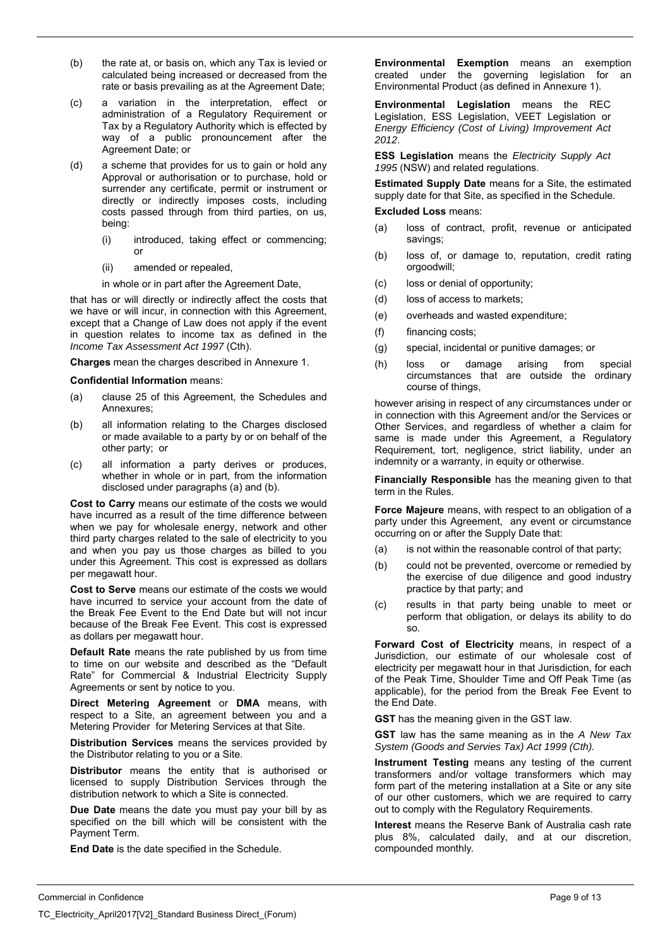- (b) the rate at, or basis on, which any Tax is levied or calculated being increased or decreased from the rate or basis prevailing as at the Agreement Date;
- (c) a variation in the interpretation, effect or administration of a Regulatory Requirement or Tax by a Regulatory Authority which is effected by way of a public pronouncement after the Agreement Date; or
- (d) a scheme that provides for us to gain or hold any Approval or authorisation or to purchase, hold or surrender any certificate, permit or instrument or directly or indirectly imposes costs, including costs passed through from third parties, on us, being:
	- (i) introduced, taking effect or commencing; or
	- (ii) amended or repealed,

in whole or in part after the Agreement Date,

that has or will directly or indirectly affect the costs that we have or will incur, in connection with this Agreement, except that a Change of Law does not apply if the event in question relates to income tax as defined in the *Income Tax Assessment Act 1997* (Cth).

**Charges** mean the charges described in Annexure 1.

**Confidential Information** means:

- (a) clause 25 of this Agreement, the Schedules and Annexures;
- (b) all information relating to the Charges disclosed or made available to a party by or on behalf of the other party; or
- (c) all information a party derives or produces, whether in whole or in part, from the information disclosed under paragraphs (a) and (b).

**Cost to Carry** means our estimate of the costs we would have incurred as a result of the time difference between when we pay for wholesale energy, network and other third party charges related to the sale of electricity to you and when you pay us those charges as billed to you under this Agreement. This cost is expressed as dollars per megawatt hour.

**Cost to Serve** means our estimate of the costs we would have incurred to service your account from the date of the Break Fee Event to the End Date but will not incur because of the Break Fee Event. This cost is expressed as dollars per megawatt hour.

**Default Rate** means the rate published by us from time to time on our website and described as the "Default Rate" for Commercial & Industrial Electricity Supply Agreements or sent by notice to you.

**Direct Metering Agreement** or **DMA** means, with respect to a Site, an agreement between you and a Metering Provider for Metering Services at that Site.

**Distribution Services** means the services provided by the Distributor relating to you or a Site.

**Distributor** means the entity that is authorised or licensed to supply Distribution Services through the distribution network to which a Site is connected.

**Due Date** means the date you must pay your bill by as specified on the bill which will be consistent with the Payment Term.

**End Date** is the date specified in the Schedule.

**Environmental Exemption** means an exemption created under the governing legislation for an Environmental Product (as defined in Annexure 1).

**Environmental Legislation** means the REC Legislation, ESS Legislation, VEET Legislation or *Energy Efficiency (Cost of Living) Improvement Act 2012*.

**ESS Legislation** means the *Electricity Supply Act 1995* (NSW) and related regulations.

**Estimated Supply Date** means for a Site, the estimated supply date for that Site, as specified in the Schedule.

### **Excluded Loss** means:

- (a) loss of contract, profit, revenue or anticipated savings;
- (b) loss of, or damage to, reputation, credit rating orgoodwill;
- (c) loss or denial of opportunity;
- (d) loss of access to markets;
- (e) overheads and wasted expenditure;
- (f) financing costs;
- (g) special, incidental or punitive damages; or
- (h) loss or damage arising from special circumstances that are outside the ordinary course of things,

however arising in respect of any circumstances under or in connection with this Agreement and/or the Services or Other Services, and regardless of whether a claim for same is made under this Agreement, a Regulatory Requirement, tort, negligence, strict liability, under an indemnity or a warranty, in equity or otherwise.

**Financially Responsible** has the meaning given to that term in the Rules.

**Force Majeure** means, with respect to an obligation of a party under this Agreement, any event or circumstance occurring on or after the Supply Date that:

- (a) is not within the reasonable control of that party;
- (b) could not be prevented, overcome or remedied by the exercise of due diligence and good industry practice by that party; and
- (c) results in that party being unable to meet or perform that obligation, or delays its ability to do so.

**Forward Cost of Electricity** means, in respect of a Jurisdiction, our estimate of our wholesale cost of electricity per megawatt hour in that Jurisdiction, for each of the Peak Time, Shoulder Time and Off Peak Time (as applicable), for the period from the Break Fee Event to the End Date.

**GST** has the meaning given in the GST law.

**GST** law has the same meaning as in the *A New Tax System (Goods and Servies Tax) Act 1999 (Cth).* 

**Instrument Testing** means any testing of the current transformers and/or voltage transformers which may form part of the metering installation at a Site or any site of our other customers, which we are required to carry out to comply with the Regulatory Requirements.

**Interest** means the Reserve Bank of Australia cash rate plus 8%, calculated daily, and at our discretion, compounded monthly*.*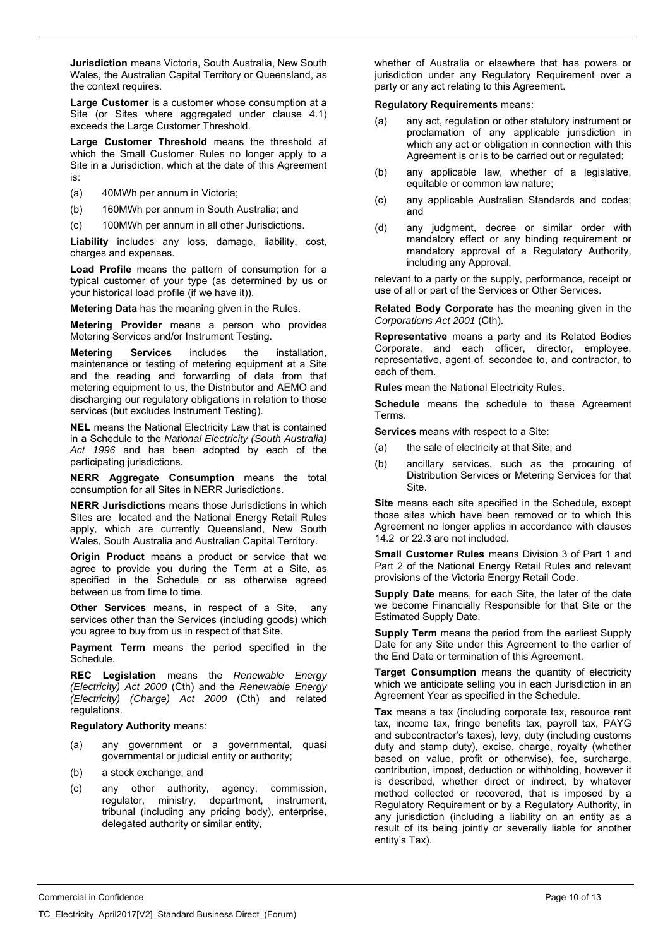**Jurisdiction** means Victoria, South Australia, New South Wales, the Australian Capital Territory or Queensland, as the context requires.

**Large Customer** is a customer whose consumption at a Site (or Sites where aggregated under clause 4.1) exceeds the Large Customer Threshold.

Large Customer Threshold means the threshold at which the Small Customer Rules no longer apply to a Site in a Jurisdiction, which at the date of this Agreement is:

- (a) 40MWh per annum in Victoria;
- (b) 160MWh per annum in South Australia; and
- (c) 100MWh per annum in all other Jurisdictions.

**Liability** includes any loss, damage, liability, cost, charges and expenses.

**Load Profile** means the pattern of consumption for a typical customer of your type (as determined by us or your historical load profile (if we have it)).

**Metering Data** has the meaning given in the Rules.

**Metering Provider** means a person who provides Metering Services and/or Instrument Testing.

**Metering Services** includes the installation, maintenance or testing of metering equipment at a Site and the reading and forwarding of data from that metering equipment to us, the Distributor and AEMO and discharging our regulatory obligations in relation to those services (but excludes Instrument Testing).

**NEL** means the National Electricity Law that is contained in a Schedule to the *National Electricity (South Australia) Act 1996* and has been adopted by each of the participating jurisdictions.

**NERR Aggregate Consumption** means the total consumption for all Sites in NERR Jurisdictions.

**NERR Jurisdictions** means those Jurisdictions in which Sites are located and the National Energy Retail Rules apply, which are currently Queensland, New South Wales, South Australia and Australian Capital Territory.

**Origin Product** means a product or service that we agree to provide you during the Term at a Site, as specified in the Schedule or as otherwise agreed between us from time to time.

**Other Services** means, in respect of a Site, any services other than the Services (including goods) which you agree to buy from us in respect of that Site.

**Payment Term** means the period specified in the Schedule.

**REC Legislation** means the *Renewable Energy (Electricity) Act 2000* (Cth) and the *Renewable Energy (Electricity) (Charge) Act 2000* (Cth) and related regulations.

### **Regulatory Authority** means:

- (a) any government or a governmental, quasi governmental or judicial entity or authority;
- (b) a stock exchange; and
- (c) any other authority, agency, commission, regulator, ministry, department, instrument, tribunal (including any pricing body), enterprise, delegated authority or similar entity,

whether of Australia or elsewhere that has powers or jurisdiction under any Regulatory Requirement over a party or any act relating to this Agreement.

#### **Regulatory Requirements** means:

- (a) any act, regulation or other statutory instrument or proclamation of any applicable jurisdiction in which any act or obligation in connection with this Agreement is or is to be carried out or regulated:
- (b) any applicable law, whether of a legislative, equitable or common law nature;
- (c) any applicable Australian Standards and codes; and
- (d) any judgment, decree or similar order with mandatory effect or any binding requirement or mandatory approval of a Regulatory Authority, including any Approval,

relevant to a party or the supply, performance, receipt or use of all or part of the Services or Other Services.

**Related Body Corporate** has the meaning given in the *Corporations Act 2001* (Cth).

**Representative** means a party and its Related Bodies Corporate, and each officer, director, employee, representative, agent of, secondee to, and contractor, to each of them.

**Rules** mean the National Electricity Rules.

**Schedule** means the schedule to these Agreement Terms.

**Services** means with respect to a Site:

- (a) the sale of electricity at that Site; and
- (b) ancillary services, such as the procuring of Distribution Services or Metering Services for that Site.

**Site** means each site specified in the Schedule, except those sites which have been removed or to which this Agreement no longer applies in accordance with clauses 14.2 or 22.3 are not included.

**Small Customer Rules** means Division 3 of Part 1 and Part 2 of the National Energy Retail Rules and relevant provisions of the Victoria Energy Retail Code.

**Supply Date** means, for each Site, the later of the date we become Financially Responsible for that Site or the Estimated Supply Date.

**Supply Term** means the period from the earliest Supply Date for any Site under this Agreement to the earlier of the End Date or termination of this Agreement.

**Target Consumption** means the quantity of electricity which we anticipate selling you in each Jurisdiction in an Agreement Year as specified in the Schedule.

**Tax** means a tax (including corporate tax, resource rent tax, income tax, fringe benefits tax, payroll tax, PAYG and subcontractor's taxes), levy, duty (including customs duty and stamp duty), excise, charge, royalty (whether based on value, profit or otherwise), fee, surcharge, contribution, impost, deduction or withholding, however it is described, whether direct or indirect, by whatever method collected or recovered, that is imposed by a Regulatory Requirement or by a Regulatory Authority, in any jurisdiction (including a liability on an entity as a result of its being jointly or severally liable for another entity's Tax).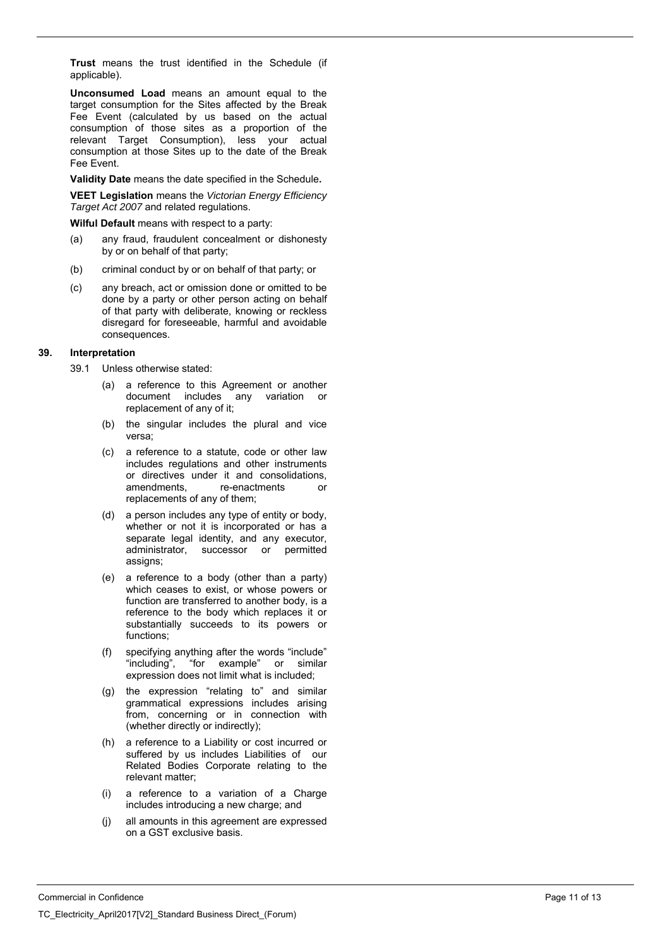**Trust** means the trust identified in the Schedule (if applicable).

**Unconsumed Load** means an amount equal to the target consumption for the Sites affected by the Break Fee Event (calculated by us based on the actual consumption of those sites as a proportion of the relevant Target Consumption), less your actual consumption at those Sites up to the date of the Break Fee Event.

**Validity Date** means the date specified in the Schedule**.** 

**VEET Legislation** means the *Victorian Energy Efficiency Target Act 2007* and related regulations.

**Wilful Default** means with respect to a party:

- (a) any fraud, fraudulent concealment or dishonesty by or on behalf of that party;
- (b) criminal conduct by or on behalf of that party; or
- (c) any breach, act or omission done or omitted to be done by a party or other person acting on behalf of that party with deliberate, knowing or reckless disregard for foreseeable, harmful and avoidable consequences.

#### **39. Interpretation**

- 39.1 Unless otherwise stated:
	- (a) a reference to this Agreement or another document includes any variation or replacement of any of it;
	- (b) the singular includes the plural and vice versa;
	- (c) a reference to a statute, code or other law includes regulations and other instruments or directives under it and consolidations,<br>amendments. re-enactments or amendments, re-enactments or replacements of any of them;
	- (d) a person includes any type of entity or body, whether or not it is incorporated or has a separate legal identity, and any executor, administrator, successor or permitted assigns;
	- (e) a reference to a body (other than a party) which ceases to exist, or whose powers or function are transferred to another body, is a reference to the body which replaces it or substantially succeeds to its powers or functions;
	- (f) specifying anything after the words "include" "including", "for example" or similar expression does not limit what is included;
	- (g) the expression "relating to" and similar grammatical expressions includes arising from, concerning or in connection with (whether directly or indirectly);
	- (h) a reference to a Liability or cost incurred or suffered by us includes Liabilities of our Related Bodies Corporate relating to the relevant matter;
	- (i) a reference to a variation of a Charge includes introducing a new charge; and
	- (j) all amounts in this agreement are expressed on a GST exclusive basis.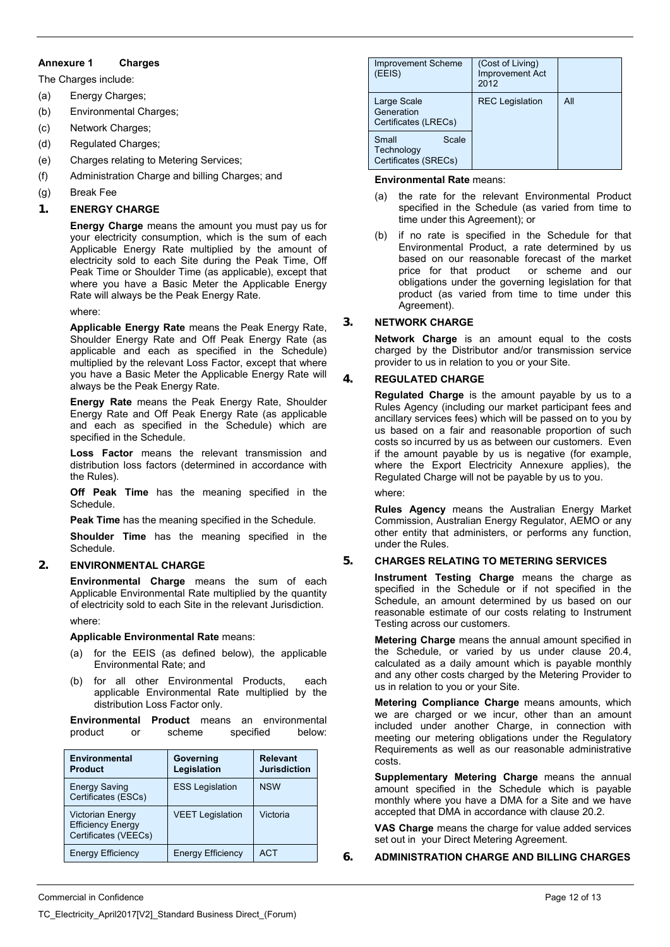### **Annexure 1 Charges**

The Charges include:

- (a) Energy Charges;
- (b) Environmental Charges;
- (c) Network Charges;
- (d) Regulated Charges;
- (e) Charges relating to Metering Services;
- (f) Administration Charge and billing Charges; and
- (g) Break Fee

# **1. ENERGY CHARGE**

**Energy Charge** means the amount you must pay us for your electricity consumption, which is the sum of each Applicable Energy Rate multiplied by the amount of electricity sold to each Site during the Peak Time, Off Peak Time or Shoulder Time (as applicable), except that where you have a Basic Meter the Applicable Energy Rate will always be the Peak Energy Rate.

#### where:

**Applicable Energy Rate** means the Peak Energy Rate, Shoulder Energy Rate and Off Peak Energy Rate (as applicable and each as specified in the Schedule) multiplied by the relevant Loss Factor, except that where you have a Basic Meter the Applicable Energy Rate will always be the Peak Energy Rate.

**Energy Rate** means the Peak Energy Rate, Shoulder Energy Rate and Off Peak Energy Rate (as applicable and each as specified in the Schedule) which are specified in the Schedule.

**Loss Factor** means the relevant transmission and distribution loss factors (determined in accordance with the Rules).

**Off Peak Time** has the meaning specified in the Schedule.

**Peak Time** has the meaning specified in the Schedule.

**Shoulder Time** has the meaning specified in the Schedule.

### **2. ENVIRONMENTAL CHARGE**

**Environmental Charge** means the sum of each Applicable Environmental Rate multiplied by the quantity of electricity sold to each Site in the relevant Jurisdiction.

where:

**Applicable Environmental Rate** means:

- (a) for the EEIS (as defined below), the applicable Environmental Rate; and
- (b) for all other Environmental Products, each applicable Environmental Rate multiplied by the distribution Loss Factor only.

**Environmental Product** means an environmental product or scheme specified below:

| <b>Environmental</b><br><b>Product</b>                                      | Governing<br>Legislation | <b>Relevant</b><br><b>Jurisdiction</b> |
|-----------------------------------------------------------------------------|--------------------------|----------------------------------------|
| <b>Energy Saving</b><br>Certificates (ESCs)                                 | <b>ESS Legislation</b>   | <b>NSW</b>                             |
| <b>Victorian Energy</b><br><b>Efficiency Energy</b><br>Certificates (VEECs) | <b>VEET Legislation</b>  | Victoria                               |
| <b>Energy Efficiency</b>                                                    | <b>Energy Efficiency</b> | <b>ACT</b>                             |

| <b>Improvement Scheme</b><br>(EEIS)                  | (Cost of Living)<br><b>Improvement Act</b><br>2012 |     |
|------------------------------------------------------|----------------------------------------------------|-----|
| Large Scale<br>Generation<br>Certificates (LRECs)    | <b>REC</b> Legislation                             | All |
| Small<br>Scale<br>Technology<br>Certificates (SRECs) |                                                    |     |

#### **Environmental Rate** means:

- (a) the rate for the relevant Environmental Product specified in the Schedule (as varied from time to time under this Agreement); or
- (b) if no rate is specified in the Schedule for that Environmental Product, a rate determined by us based on our reasonable forecast of the market price for that product or scheme and our obligations under the governing legislation for that product (as varied from time to time under this Agreement).

# **3. NETWORK CHARGE**

**Network Charge** is an amount equal to the costs charged by the Distributor and/or transmission service provider to us in relation to you or your Site.

### **4. REGULATED CHARGE**

**Regulated Charge** is the amount payable by us to a Rules Agency (including our market participant fees and ancillary services fees) which will be passed on to you by us based on a fair and reasonable proportion of such costs so incurred by us as between our customers. Even if the amount payable by us is negative (for example, where the Export Electricity Annexure applies), the Regulated Charge will not be payable by us to you.

where:

**Rules Agency** means the Australian Energy Market Commission, Australian Energy Regulator, AEMO or any other entity that administers, or performs any function, under the Rules.

### **5. CHARGES RELATING TO METERING SERVICES**

**Instrument Testing Charge** means the charge as specified in the Schedule or if not specified in the Schedule, an amount determined by us based on our reasonable estimate of our costs relating to Instrument Testing across our customers.

**Metering Charge** means the annual amount specified in the Schedule, or varied by us under clause 20.4, calculated as a daily amount which is payable monthly and any other costs charged by the Metering Provider to us in relation to you or your Site.

**Metering Compliance Charge** means amounts, which we are charged or we incur, other than an amount included under another Charge, in connection with meeting our metering obligations under the Regulatory Requirements as well as our reasonable administrative costs.

**Supplementary Metering Charge** means the annual amount specified in the Schedule which is payable monthly where you have a DMA for a Site and we have accepted that DMA in accordance with clause 20.2.

**VAS Charge** means the charge for value added services set out in your Direct Metering Agreement.

**6. ADMINISTRATION CHARGE AND BILLING CHARGES**